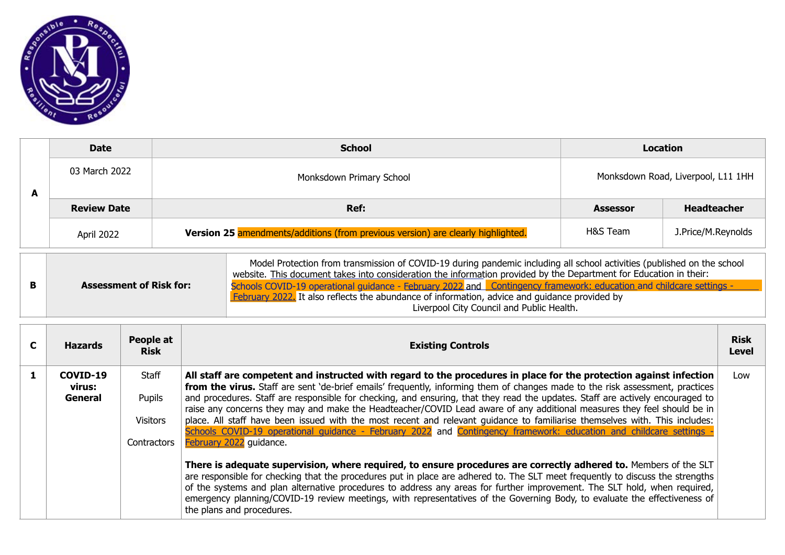

|   | <b>Date</b>        | <b>School</b>                                                                    |                                    | <b>Location</b>    |
|---|--------------------|----------------------------------------------------------------------------------|------------------------------------|--------------------|
| A | 03 March 2022      | Monksdown Primary School                                                         | Monksdown Road, Liverpool, L11 1HH |                    |
|   | <b>Review Date</b> | Ref:                                                                             | <b>Assessor</b>                    | <b>Headteacher</b> |
|   | April 2022         | Version 25 amendments/additions (from previous version) are clearly highlighted. | H&S Team                           | J.Price/M.Reynolds |

|                                | Model Protection from transmission of COVID-19 during pandemic including all school activities (published on the school<br>website. This document takes into consideration the information provided by the Department for Education in their: |
|--------------------------------|-----------------------------------------------------------------------------------------------------------------------------------------------------------------------------------------------------------------------------------------------|
| <b>Assessment of Risk for:</b> | Schools COVID-19 operational guidance - February 2022 and Contingency framework: education and childcare settings -                                                                                                                           |
|                                | <b>February 2022.</b> It also reflects the abundance of information, advice and guidance provided by                                                                                                                                          |
|                                | Liverpool City Council and Public Health.                                                                                                                                                                                                     |

| <b>Hazards</b>                | People at<br><b>Risk</b>                          | <b>Existing Controls</b>                                                                                                                                                                                                                                                                                                                                                                                                                                                                                                                                                                                                                                                                                                                                                                                                                                                                                                                                                                                                                                                                                                                                                                                                                                                                                                                       | <b>Risk</b><br><b>Level</b> |
|-------------------------------|---------------------------------------------------|------------------------------------------------------------------------------------------------------------------------------------------------------------------------------------------------------------------------------------------------------------------------------------------------------------------------------------------------------------------------------------------------------------------------------------------------------------------------------------------------------------------------------------------------------------------------------------------------------------------------------------------------------------------------------------------------------------------------------------------------------------------------------------------------------------------------------------------------------------------------------------------------------------------------------------------------------------------------------------------------------------------------------------------------------------------------------------------------------------------------------------------------------------------------------------------------------------------------------------------------------------------------------------------------------------------------------------------------|-----------------------------|
| COVID-19<br>virus:<br>General | Staff<br>Pupils<br><b>Visitors</b><br>Contractors | All staff are competent and instructed with regard to the procedures in place for the protection against infection<br>from the virus. Staff are sent 'de-brief emails' frequently, informing them of changes made to the risk assessment, practices<br>and procedures. Staff are responsible for checking, and ensuring, that they read the updates. Staff are actively encouraged to<br>raise any concerns they may and make the Headteacher/COVID Lead aware of any additional measures they feel should be in<br>place. All staff have been issued with the most recent and relevant guidance to familiarise themselves with. This includes:<br>Schools COVID-19 operational guidance - February 2022 and Contingency framework: education and childcare settings -<br>February 2022 guidance.<br>There is adequate supervision, where required, to ensure procedures are correctly adhered to. Members of the SLT<br>are responsible for checking that the procedures put in place are adhered to. The SLT meet frequently to discuss the strengths<br>of the systems and plan alternative procedures to address any areas for further improvement. The SLT hold, when required,<br>emergency planning/COVID-19 review meetings, with representatives of the Governing Body, to evaluate the effectiveness of<br>the plans and procedures. | Low                         |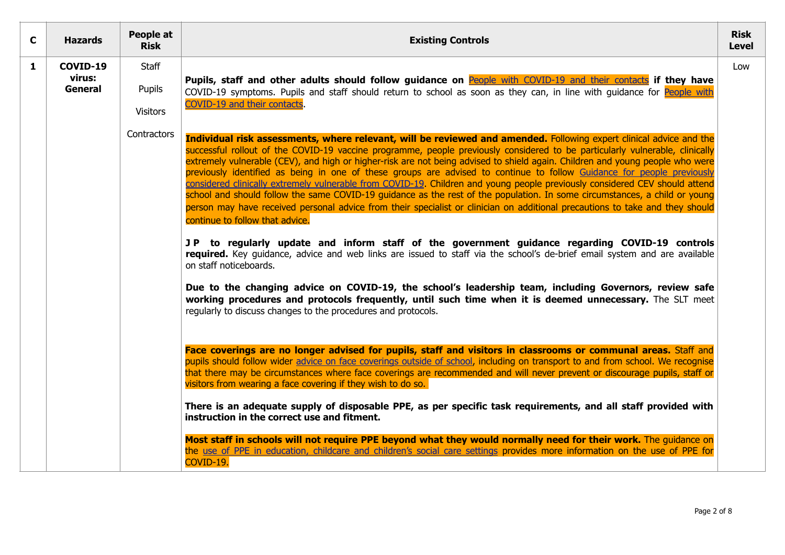| $\mathbf{C}$ | <b>Hazards</b>                       | People at<br><b>Risk</b>                  | <b>Existing Controls</b>                                                                                                                                                                                                                                                                                                                                                                                                                                                                                                                                                                                                                                                                                                                                                                                                                                                                                                                                                                                                                                                                                                                                                                                                                                                                                                                                                                                                                                                                        | <b>Risk</b><br><b>Level</b> |
|--------------|--------------------------------------|-------------------------------------------|-------------------------------------------------------------------------------------------------------------------------------------------------------------------------------------------------------------------------------------------------------------------------------------------------------------------------------------------------------------------------------------------------------------------------------------------------------------------------------------------------------------------------------------------------------------------------------------------------------------------------------------------------------------------------------------------------------------------------------------------------------------------------------------------------------------------------------------------------------------------------------------------------------------------------------------------------------------------------------------------------------------------------------------------------------------------------------------------------------------------------------------------------------------------------------------------------------------------------------------------------------------------------------------------------------------------------------------------------------------------------------------------------------------------------------------------------------------------------------------------------|-----------------------------|
| 1            | COVID-19<br>virus:<br><b>General</b> | <b>Staff</b><br>Pupils<br><b>Visitors</b> | Pupils, staff and other adults should follow guidance on People with COVID-19 and their contacts if they have<br>COVID-19 symptoms. Pupils and staff should return to school as soon as they can, in line with quidance for People with<br>COVID-19 and their contacts.                                                                                                                                                                                                                                                                                                                                                                                                                                                                                                                                                                                                                                                                                                                                                                                                                                                                                                                                                                                                                                                                                                                                                                                                                         | Low                         |
|              |                                      | Contractors                               | Individual risk assessments, where relevant, will be reviewed and amended. Following expert clinical advice and the<br>successful rollout of the COVID-19 vaccine programme, people previously considered to be particularly vulnerable, clinically<br>extremely vulnerable (CEV), and high or higher-risk are not being advised to shield again. Children and young people who were<br>previously identified as being in one of these groups are advised to continue to follow Guidance for people previously<br>considered clinically extremely vulnerable from COVID-19. Children and young people previously considered CEV should attend<br>school and should follow the same COVID-19 guidance as the rest of the population. In some circumstances, a child or young<br>person may have received personal advice from their specialist or clinician on additional precautions to take and they should<br>continue to follow that advice.<br>JP to regularly update and inform staff of the government guidance regarding COVID-19 controls<br>required. Key guidance, advice and web links are issued to staff via the school's de-brief email system and are available<br>on staff noticeboards.<br>Due to the changing advice on COVID-19, the school's leadership team, including Governors, review safe<br>working procedures and protocols frequently, until such time when it is deemed unnecessary. The SLT meet<br>regularly to discuss changes to the procedures and protocols. |                             |
|              |                                      |                                           | Face coverings are no longer advised for pupils, staff and visitors in classrooms or communal areas. Staff and<br>pupils should follow wider advice on face coverings outside of school, including on transport to and from school. We recognise<br>that there may be circumstances where face coverings are recommended and will never prevent or discourage pupils, staff or<br>visitors from wearing a face covering if they wish to do so.<br>There is an adequate supply of disposable PPE, as per specific task requirements, and all staff provided with<br>instruction in the correct use and fitment.                                                                                                                                                                                                                                                                                                                                                                                                                                                                                                                                                                                                                                                                                                                                                                                                                                                                                  |                             |
|              |                                      |                                           | Most staff in schools will not require PPE beyond what they would normally need for their work. The guidance on<br>the use of PPE in education, childcare and children's social care settings provides more information on the use of PPE for<br>COVID-19.                                                                                                                                                                                                                                                                                                                                                                                                                                                                                                                                                                                                                                                                                                                                                                                                                                                                                                                                                                                                                                                                                                                                                                                                                                      |                             |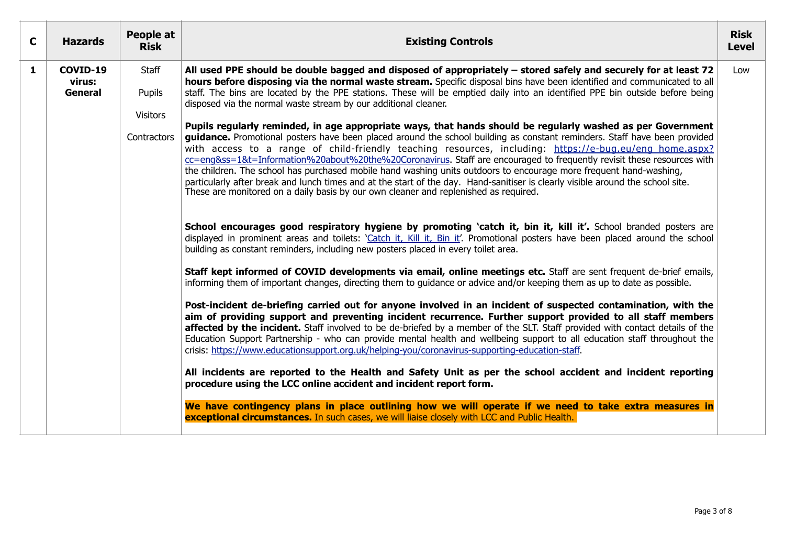| C | <b>Hazards</b>                | People at<br><b>Risk</b>                          | <b>Existing Controls</b>                                                                                                                                                                                                                                                                                                                                                                                                                                                                                                                                                                                                                                                                                                                                                                                                                                                                                                                                                                                                                                                                                                                                                                                                                                                                                                                                                                                                                                                                                                                                                                                                                                                                                                                                                                                                                                                                                                                                                                                                                                                                                                                                                                                                                                                                                                                                                                                                                                                                                                                                                                                                                                                                                                                                               | <b>Risk</b><br><b>Level</b> |
|---|-------------------------------|---------------------------------------------------|------------------------------------------------------------------------------------------------------------------------------------------------------------------------------------------------------------------------------------------------------------------------------------------------------------------------------------------------------------------------------------------------------------------------------------------------------------------------------------------------------------------------------------------------------------------------------------------------------------------------------------------------------------------------------------------------------------------------------------------------------------------------------------------------------------------------------------------------------------------------------------------------------------------------------------------------------------------------------------------------------------------------------------------------------------------------------------------------------------------------------------------------------------------------------------------------------------------------------------------------------------------------------------------------------------------------------------------------------------------------------------------------------------------------------------------------------------------------------------------------------------------------------------------------------------------------------------------------------------------------------------------------------------------------------------------------------------------------------------------------------------------------------------------------------------------------------------------------------------------------------------------------------------------------------------------------------------------------------------------------------------------------------------------------------------------------------------------------------------------------------------------------------------------------------------------------------------------------------------------------------------------------------------------------------------------------------------------------------------------------------------------------------------------------------------------------------------------------------------------------------------------------------------------------------------------------------------------------------------------------------------------------------------------------------------------------------------------------------------------------------------------------|-----------------------------|
| 1 | COVID-19<br>virus:<br>General | Staff<br>Pupils<br><b>Visitors</b><br>Contractors | All used PPE should be double bagged and disposed of appropriately – stored safely and securely for at least 72<br>hours before disposing via the normal waste stream. Specific disposal bins have been identified and communicated to all<br>staff. The bins are located by the PPE stations. These will be emptied daily into an identified PPE bin outside before being<br>disposed via the normal waste stream by our additional cleaner.<br>Pupils regularly reminded, in age appropriate ways, that hands should be regularly washed as per Government<br>guidance. Promotional posters have been placed around the school building as constant reminders. Staff have been provided<br>with access to a range of child-friendly teaching resources, including: https://e-bug.eu/eng home.aspx?<br>cc=eng&ss=1&t=Information%20about%20the%20Coronavirus. Staff are encouraged to frequently revisit these resources with<br>the children. The school has purchased mobile hand washing units outdoors to encourage more frequent hand-washing,<br>particularly after break and lunch times and at the start of the day. Hand-sanitiser is clearly visible around the school site.<br>These are monitored on a daily basis by our own cleaner and replenished as required.<br>School encourages good respiratory hygiene by promoting 'catch it, bin it, kill it'. School branded posters are<br>displayed in prominent areas and toilets: 'Catch it, Kill it, Bin it'. Promotional posters have been placed around the school<br>building as constant reminders, including new posters placed in every toilet area.<br>Staff kept informed of COVID developments via email, online meetings etc. Staff are sent frequent de-brief emails,<br>informing them of important changes, directing them to quidance or advice and/or keeping them as up to date as possible.<br>Post-incident de-briefing carried out for anyone involved in an incident of suspected contamination, with the<br>aim of providing support and preventing incident recurrence. Further support provided to all staff members<br>affected by the incident. Staff involved to be de-briefed by a member of the SLT. Staff provided with contact details of the<br>Education Support Partnership - who can provide mental health and wellbeing support to all education staff throughout the<br>crisis: https://www.educationsupport.org.uk/helping-you/coronavirus-supporting-education-staff.<br>All incidents are reported to the Health and Safety Unit as per the school accident and incident reporting<br>procedure using the LCC online accident and incident report form.<br>We have contingency plans in place outlining how we will operate if we need to take extra measures in | Low                         |
|   |                               |                                                   | exceptional circumstances. In such cases, we will liaise closely with LCC and Public Health.                                                                                                                                                                                                                                                                                                                                                                                                                                                                                                                                                                                                                                                                                                                                                                                                                                                                                                                                                                                                                                                                                                                                                                                                                                                                                                                                                                                                                                                                                                                                                                                                                                                                                                                                                                                                                                                                                                                                                                                                                                                                                                                                                                                                                                                                                                                                                                                                                                                                                                                                                                                                                                                                           |                             |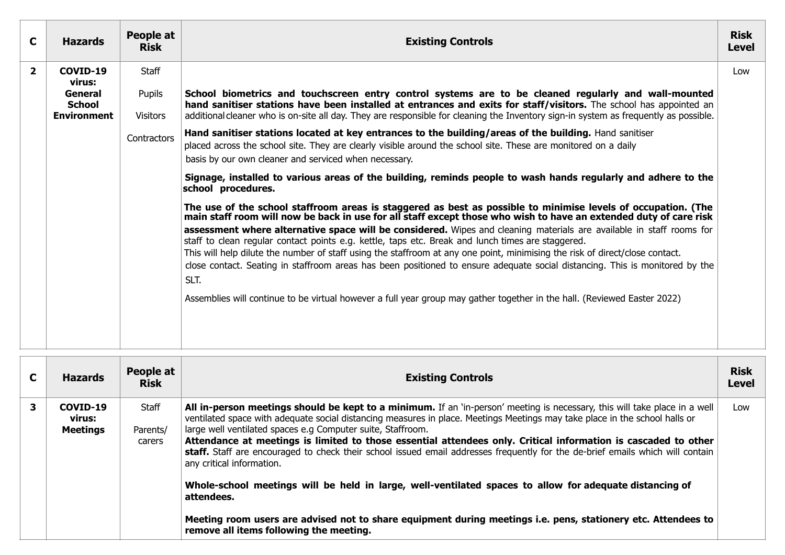| C            | <b>Hazards</b>                                                       | People at<br><b>Risk</b>                                 | <b>Existing Controls</b>                                                                                                                                                                                                                                                                                                                                                                                                                                                                                                                                                                                                                                                                                                                                                                                                                                                                 | <b>Risk</b><br><b>Level</b> |
|--------------|----------------------------------------------------------------------|----------------------------------------------------------|------------------------------------------------------------------------------------------------------------------------------------------------------------------------------------------------------------------------------------------------------------------------------------------------------------------------------------------------------------------------------------------------------------------------------------------------------------------------------------------------------------------------------------------------------------------------------------------------------------------------------------------------------------------------------------------------------------------------------------------------------------------------------------------------------------------------------------------------------------------------------------------|-----------------------------|
| $\mathbf{2}$ | COVID-19<br>virus:<br>General<br><b>School</b><br><b>Environment</b> | <b>Staff</b><br>Pupils<br><b>Visitors</b><br>Contractors | School biometrics and touchscreen entry control systems are to be cleaned regularly and wall-mounted<br>hand sanitiser stations have been installed at entrances and exits for staff/visitors. The school has appointed an<br>additional cleaner who is on-site all day. They are responsible for cleaning the Inventory sign-in system as frequently as possible.<br>Hand sanitiser stations located at key entrances to the building/areas of the building. Hand sanitiser<br>placed across the school site. They are clearly visible around the school site. These are monitored on a daily<br>basis by our own cleaner and serviced when necessary.<br>Signage, installed to various areas of the building, reminds people to wash hands regularly and adhere to the                                                                                                                 | Low                         |
|              |                                                                      |                                                          | school procedures.<br>The use of the school staffroom areas is staggered as best as possible to minimise levels of occupation. (The<br>main staff room will now be back in use for all staff except those who wish to have an extended duty of care ris<br>assessment where alternative space will be considered. Wipes and cleaning materials are available in staff rooms for<br>staff to clean regular contact points e.g. kettle, taps etc. Break and lunch times are staggered.<br>This will help dilute the number of staff using the staffroom at any one point, minimising the risk of direct/close contact.<br>close contact. Seating in staffroom areas has been positioned to ensure adequate social distancing. This is monitored by the<br>SLT.<br>Assemblies will continue to be virtual however a full year group may gather together in the hall. (Reviewed Easter 2022) |                             |

| C. | <b>Hazards</b>                        | People at<br><b>Risk</b>    | <b>Existing Controls</b>                                                                                                                                                                                                                                                                                                                                                                                                                                                                                                                                                                                  | <b>Risk</b><br><b>Level</b> |
|----|---------------------------------------|-----------------------------|-----------------------------------------------------------------------------------------------------------------------------------------------------------------------------------------------------------------------------------------------------------------------------------------------------------------------------------------------------------------------------------------------------------------------------------------------------------------------------------------------------------------------------------------------------------------------------------------------------------|-----------------------------|
| 3  | COVID-19<br>virus:<br><b>Meetings</b> | Staff<br>Parents/<br>carers | All in-person meetings should be kept to a minimum. If an 'in-person' meeting is necessary, this will take place in a well<br>ventilated space with adequate social distancing measures in place. Meetings Meetings may take place in the school halls or<br>large well ventilated spaces e.g Computer suite, Staffroom.<br>Attendance at meetings is limited to those essential attendees only. Critical information is cascaded to other<br>staff. Staff are encouraged to check their school issued email addresses frequently for the de-brief emails which will contain<br>any critical information. | Low                         |
|    |                                       |                             | Whole-school meetings will be held in large, well-ventilated spaces to allow for adequate distancing of<br>attendees.                                                                                                                                                                                                                                                                                                                                                                                                                                                                                     |                             |
|    |                                       |                             | Meeting room users are advised not to share equipment during meetings i.e. pens, stationery etc. Attendees to<br>remove all items following the meeting.                                                                                                                                                                                                                                                                                                                                                                                                                                                  |                             |

 $\overline{\phantom{a}}$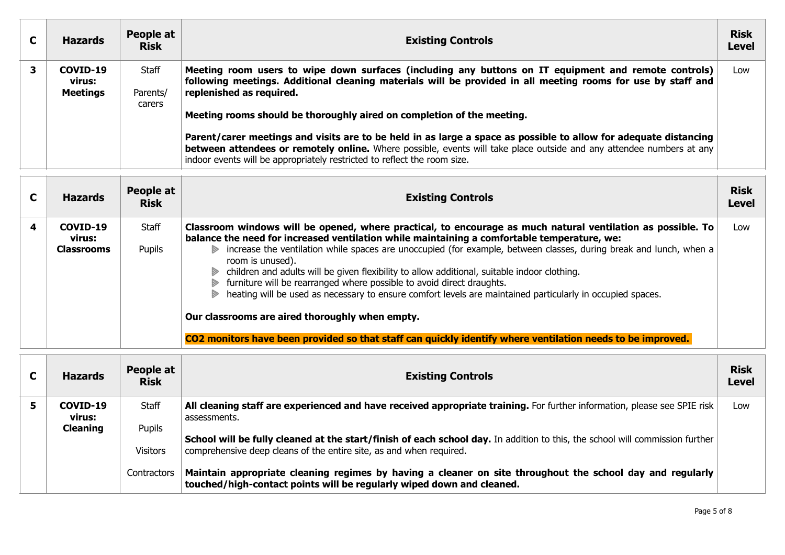| <b>Hazards</b>                        | People at<br><b>Risk</b>    | <b>Existing Controls</b>                                                                                                                                                                                                                                                                                                    | <b>Risk</b><br><b>Level</b> |
|---------------------------------------|-----------------------------|-----------------------------------------------------------------------------------------------------------------------------------------------------------------------------------------------------------------------------------------------------------------------------------------------------------------------------|-----------------------------|
| COVID-19<br>virus:<br><b>Meetings</b> | Staff<br>Parents/<br>carers | Meeting room users to wipe down surfaces (including any buttons on IT equipment and remote controls)<br>following meetings. Additional cleaning materials will be provided in all meeting rooms for use by staff and<br>replenished as required.                                                                            | Low                         |
|                                       |                             | Meeting rooms should be thoroughly aired on completion of the meeting.                                                                                                                                                                                                                                                      |                             |
|                                       |                             | Parent/carer meetings and visits are to be held in as large a space as possible to allow for adequate distancing<br><b>between attendees or remotely online.</b> Where possible, events will take place outside and any attendee numbers at any<br>indoor events will be appropriately restricted to reflect the room size. |                             |

| <b>Hazards</b>                          | People at<br><b>Risk</b> | <b>Existing Controls</b>                                                                                                                                                                                                                                                                                                                                                                                                                                                                                                                                                                                                                                                                                                                                                                                                         | <b>Risk</b><br><b>Level</b> |
|-----------------------------------------|--------------------------|----------------------------------------------------------------------------------------------------------------------------------------------------------------------------------------------------------------------------------------------------------------------------------------------------------------------------------------------------------------------------------------------------------------------------------------------------------------------------------------------------------------------------------------------------------------------------------------------------------------------------------------------------------------------------------------------------------------------------------------------------------------------------------------------------------------------------------|-----------------------------|
| COVID-19<br>virus:<br><b>Classrooms</b> | Staff<br>Pupils          | Classroom windows will be opened, where practical, to encourage as much natural ventilation as possible. To<br>balance the need for increased ventilation while maintaining a comfortable temperature, we:<br>increase the ventilation while spaces are unoccupied (for example, between classes, during break and lunch, when a<br>D<br>room is unused).<br>children and adults will be given flexibility to allow additional, suitable indoor clothing.<br>D<br>furniture will be rearranged where possible to avoid direct draughts.<br>D<br>heating will be used as necessary to ensure comfort levels are maintained particularly in occupied spaces.<br>D<br>Our classrooms are aired thoroughly when empty.<br>CO2 monitors have been provided so that staff can quickly identify where ventilation needs to be improved. | Low                         |

| <b>Hazards</b>                        | People at<br><b>Risk</b> | <b>Existing Controls</b>                                                                                                                                                                            | <b>Risk</b><br><b>Level</b> |
|---------------------------------------|--------------------------|-----------------------------------------------------------------------------------------------------------------------------------------------------------------------------------------------------|-----------------------------|
| COVID-19<br>virus:<br><b>Cleaning</b> | Staff<br>Pupils          | All cleaning staff are experienced and have received appropriate training. For further information, please see SPIE risk<br>assessments.                                                            | Low                         |
|                                       | <b>Visitors</b>          | School will be fully cleaned at the start/finish of each school day. In addition to this, the school will commission further<br>comprehensive deep cleans of the entire site, as and when required. |                             |
|                                       | Contractors              | Maintain appropriate cleaning regimes by having a cleaner on site throughout the school day and regularly<br>touched/high-contact points will be regularly wiped down and cleaned.                  |                             |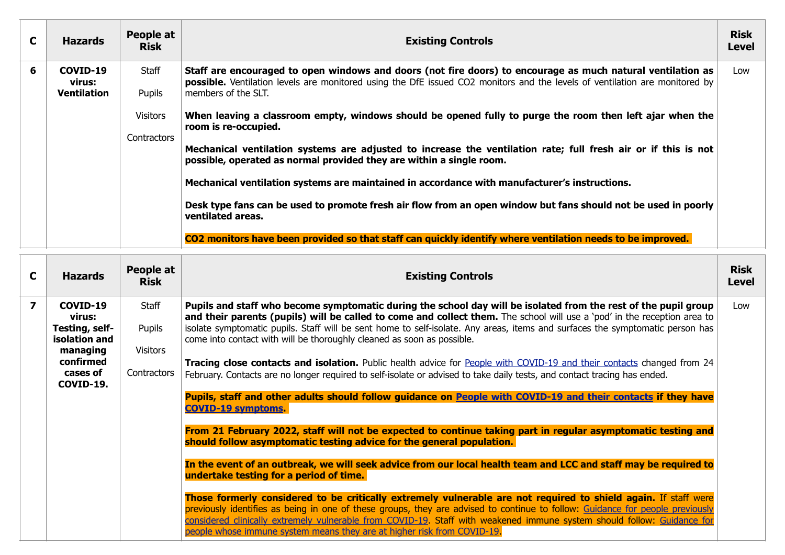|   | <b>Hazards</b>                           | People at<br><b>Risk</b> | <b>Existing Controls</b>                                                                                                                                                                                                                                          | <b>Risk</b><br>Level |
|---|------------------------------------------|--------------------------|-------------------------------------------------------------------------------------------------------------------------------------------------------------------------------------------------------------------------------------------------------------------|----------------------|
| 6 | COVID-19<br>virus:<br><b>Ventilation</b> | Staff<br>Pupils          | Staff are encouraged to open windows and doors (not fire doors) to encourage as much natural ventilation as<br>possible. Ventilation levels are monitored using the DfE issued CO2 monitors and the levels of ventilation are monitored by<br>members of the SLT. | Low                  |
|   |                                          | <b>Visitors</b>          | When leaving a classroom empty, windows should be opened fully to purge the room then left ajar when the<br>room is re-occupied.                                                                                                                                  |                      |
|   |                                          | Contractors              | Mechanical ventilation systems are adjusted to increase the ventilation rate; full fresh air or if this is not<br>possible, operated as normal provided they are within a single room.                                                                            |                      |
|   |                                          |                          | Mechanical ventilation systems are maintained in accordance with manufacturer's instructions.                                                                                                                                                                     |                      |
|   |                                          |                          | Desk type fans can be used to promote fresh air flow from an open window but fans should not be used in poorly<br>ventilated areas.                                                                                                                               |                      |
|   |                                          |                          | CO2 monitors have been provided so that staff can quickly identify where ventilation needs to be improved.                                                                                                                                                        |                      |

 $\overline{\phantom{0}}$ 

| C | <b>Hazards</b>                                                    | People at<br><b>Risk</b>           | <b>Existing Controls</b>                                                                                                                                                                                                                                                                                                                                                                                                                               | <b>Risk</b><br><b>Level</b> |
|---|-------------------------------------------------------------------|------------------------------------|--------------------------------------------------------------------------------------------------------------------------------------------------------------------------------------------------------------------------------------------------------------------------------------------------------------------------------------------------------------------------------------------------------------------------------------------------------|-----------------------------|
| 7 | COVID-19<br>virus:<br>Testing, self-<br>isolation and<br>managing | Staff<br>Pupils<br><b>Visitors</b> | Pupils and staff who become symptomatic during the school day will be isolated from the rest of the pupil group<br>and their parents (pupils) will be called to come and collect them. The school will use a 'pod' in the reception area to<br>isolate symptomatic pupils. Staff will be sent home to self-isolate. Any areas, items and surfaces the symptomatic person has<br>come into contact with will be thoroughly cleaned as soon as possible. | Low                         |
|   | confirmed<br>cases of<br>COVID-19.                                | <b>Contractors</b>                 | Tracing close contacts and isolation. Public health advice for People with COVID-19 and their contacts changed from 24<br>February. Contacts are no longer required to self-isolate or advised to take daily tests, and contact tracing has ended.                                                                                                                                                                                                     |                             |
|   |                                                                   |                                    | Pupils, staff and other adults should follow guidance on People with COVID-19 and their contacts if they have<br><b>COVID-19 symptoms.</b>                                                                                                                                                                                                                                                                                                             |                             |
|   |                                                                   |                                    | From 21 February 2022, staff will not be expected to continue taking part in regular asymptomatic testing and<br>should follow asymptomatic testing advice for the general population.                                                                                                                                                                                                                                                                 |                             |
|   |                                                                   |                                    | In the event of an outbreak, we will seek advice from our local health team and LCC and staff may be required to<br>undertake testing for a period of time.                                                                                                                                                                                                                                                                                            |                             |
|   |                                                                   |                                    | Those formerly considered to be critically extremely vulnerable are not required to shield again. If staff were<br>previously identifies as being in one of these groups, they are advised to continue to follow: Guidance for people previously<br>considered clinically extremely vulnerable from COVID-19. Staff with weakened immune system should follow: Guidance for<br>people whose immune system means they are at higher risk from COVID-19. |                             |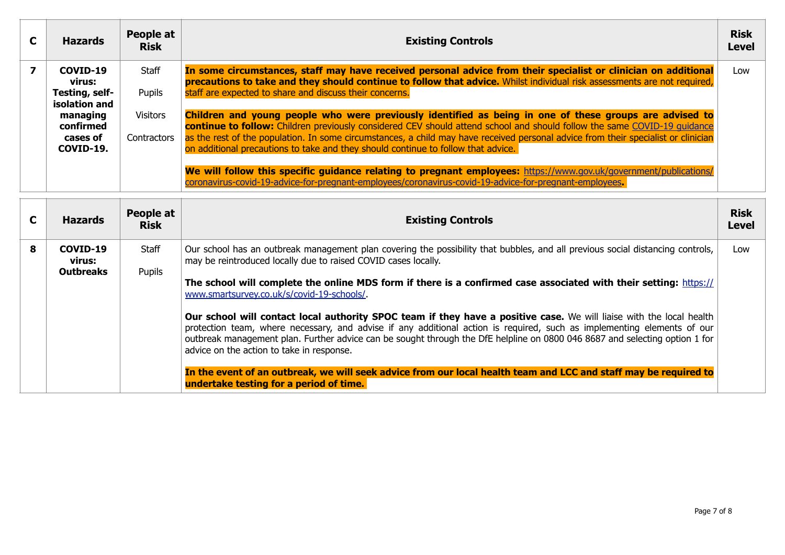| <b>Hazards</b>                                        | People at<br><b>Risk</b>       | <b>Existing Controls</b>                                                                                                                                                                                                                                                                                                                                                                                                                                       | <b>Risk</b><br><b>Level</b> |
|-------------------------------------------------------|--------------------------------|----------------------------------------------------------------------------------------------------------------------------------------------------------------------------------------------------------------------------------------------------------------------------------------------------------------------------------------------------------------------------------------------------------------------------------------------------------------|-----------------------------|
| COVID-19<br>virus:<br>Testing, self-<br>isolation and | Staff<br>Pupils                | In some circumstances, staff may have received personal advice from their specialist or clinician on additional<br>precautions to take and they should continue to follow that advice. Whilst individual risk assessments are not required,<br>staff are expected to share and discuss their concerns.                                                                                                                                                         | Low                         |
| managing<br>confirmed<br>cases of<br>COVID-19.        | <b>Visitors</b><br>Contractors | Children and young people who were previously identified as being in one of these groups are advised to<br>continue to follow: Children previously considered CEV should attend school and should follow the same COVID-19 quidance<br>as the rest of the population. In some circumstances, a child may have received personal advice from their specialist or clinician<br>on additional precautions to take and they should continue to follow that advice. |                             |
|                                                       |                                | We will follow this specific guidance relating to pregnant employees: https://www.gov.uk/government/publications/<br>coronavirus-covid-19-advice-for-pregnant-employees/coronavirus-covid-19-advice-for-pregnant-employees.                                                                                                                                                                                                                                    |                             |

|   | <b>Hazards</b>                         | People at<br><b>Risk</b> | <b>Existing Controls</b>                                                                                                                                                                                                                                                                                                                                                                                                                                                                                                                                                                                                                                                                                                                                                                                                                                                                                                                                                       | <b>Risk</b><br><b>Level</b> |
|---|----------------------------------------|--------------------------|--------------------------------------------------------------------------------------------------------------------------------------------------------------------------------------------------------------------------------------------------------------------------------------------------------------------------------------------------------------------------------------------------------------------------------------------------------------------------------------------------------------------------------------------------------------------------------------------------------------------------------------------------------------------------------------------------------------------------------------------------------------------------------------------------------------------------------------------------------------------------------------------------------------------------------------------------------------------------------|-----------------------------|
| 8 | COVID-19<br>virus:<br><b>Outbreaks</b> | Staff<br>Pupils          | Our school has an outbreak management plan covering the possibility that bubbles, and all previous social distancing controls,<br>may be reintroduced locally due to raised COVID cases locally.<br>The school will complete the online MDS form if there is a confirmed case associated with their setting: $\frac{https://}{500}$<br>www.smartsurvey.co.uk/s/covid-19-schools/<br>Our school will contact local authority SPOC team if they have a positive case. We will liaise with the local health<br>protection team, where necessary, and advise if any additional action is required, such as implementing elements of our<br>outbreak management plan. Further advice can be sought through the DfE helpline on 0800 046 8687 and selecting option 1 for<br>advice on the action to take in response.<br>In the event of an outbreak, we will seek advice from our local health team and LCC and staff may be required to<br>undertake testing for a period of time. | Low                         |

⊤